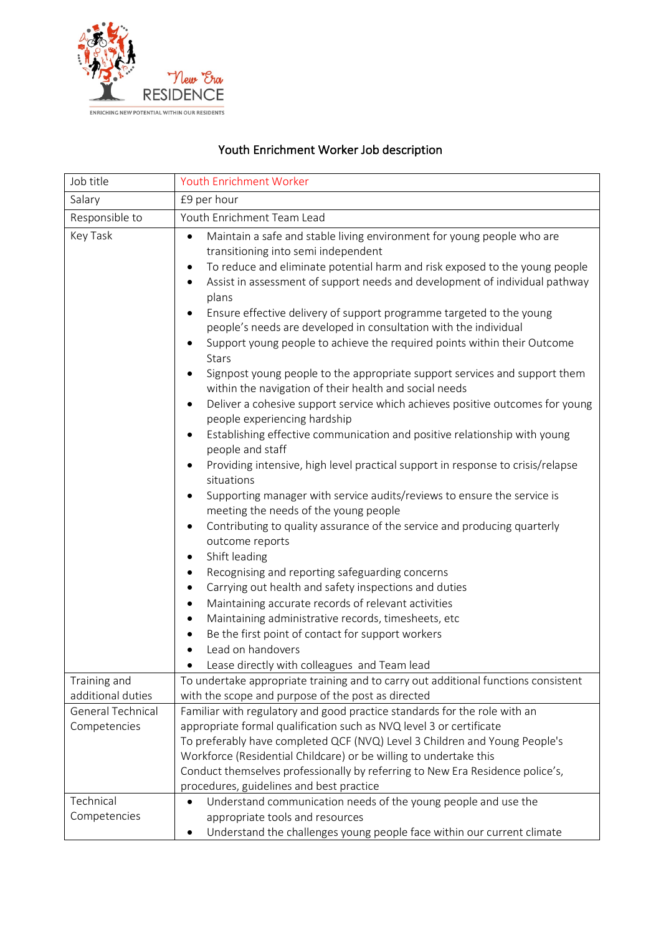

## Youth Enrichment Worker Job description

| Job title                         | Youth Enrichment Worker                                                                                                                                                                                                                                                                                                                                                                                                                                                                                                                                                                                                                                                                                                                                                                                                                                                                                                                                                                                                                                                                                                                                                                                                                                                                                                                                                                                                                                                                                                                                                                                                                                                                                                                                               |
|-----------------------------------|-----------------------------------------------------------------------------------------------------------------------------------------------------------------------------------------------------------------------------------------------------------------------------------------------------------------------------------------------------------------------------------------------------------------------------------------------------------------------------------------------------------------------------------------------------------------------------------------------------------------------------------------------------------------------------------------------------------------------------------------------------------------------------------------------------------------------------------------------------------------------------------------------------------------------------------------------------------------------------------------------------------------------------------------------------------------------------------------------------------------------------------------------------------------------------------------------------------------------------------------------------------------------------------------------------------------------------------------------------------------------------------------------------------------------------------------------------------------------------------------------------------------------------------------------------------------------------------------------------------------------------------------------------------------------------------------------------------------------------------------------------------------------|
| Salary                            | £9 per hour                                                                                                                                                                                                                                                                                                                                                                                                                                                                                                                                                                                                                                                                                                                                                                                                                                                                                                                                                                                                                                                                                                                                                                                                                                                                                                                                                                                                                                                                                                                                                                                                                                                                                                                                                           |
| Responsible to                    | Youth Enrichment Team Lead                                                                                                                                                                                                                                                                                                                                                                                                                                                                                                                                                                                                                                                                                                                                                                                                                                                                                                                                                                                                                                                                                                                                                                                                                                                                                                                                                                                                                                                                                                                                                                                                                                                                                                                                            |
| Key Task                          | Maintain a safe and stable living environment for young people who are<br>$\bullet$<br>transitioning into semi independent<br>To reduce and eliminate potential harm and risk exposed to the young people<br>$\bullet$<br>Assist in assessment of support needs and development of individual pathway<br>$\bullet$<br>plans<br>Ensure effective delivery of support programme targeted to the young<br>people's needs are developed in consultation with the individual<br>Support young people to achieve the required points within their Outcome<br>$\bullet$<br><b>Stars</b><br>Signpost young people to the appropriate support services and support them<br>within the navigation of their health and social needs<br>Deliver a cohesive support service which achieves positive outcomes for young<br>$\bullet$<br>people experiencing hardship<br>Establishing effective communication and positive relationship with young<br>$\bullet$<br>people and staff<br>Providing intensive, high level practical support in response to crisis/relapse<br>$\bullet$<br>situations<br>Supporting manager with service audits/reviews to ensure the service is<br>$\bullet$<br>meeting the needs of the young people<br>Contributing to quality assurance of the service and producing quarterly<br>$\bullet$<br>outcome reports<br>Shift leading<br>$\bullet$<br>Recognising and reporting safeguarding concerns<br>$\bullet$<br>Carrying out health and safety inspections and duties<br>$\bullet$<br>Maintaining accurate records of relevant activities<br>$\bullet$<br>Maintaining administrative records, timesheets, etc<br>$\bullet$<br>Be the first point of contact for support workers<br>Lead on handovers<br>Lease directly with colleagues and Team lead |
| Training and<br>additional duties | To undertake appropriate training and to carry out additional functions consistent<br>with the scope and purpose of the post as directed                                                                                                                                                                                                                                                                                                                                                                                                                                                                                                                                                                                                                                                                                                                                                                                                                                                                                                                                                                                                                                                                                                                                                                                                                                                                                                                                                                                                                                                                                                                                                                                                                              |
| <b>General Technical</b>          | Familiar with regulatory and good practice standards for the role with an                                                                                                                                                                                                                                                                                                                                                                                                                                                                                                                                                                                                                                                                                                                                                                                                                                                                                                                                                                                                                                                                                                                                                                                                                                                                                                                                                                                                                                                                                                                                                                                                                                                                                             |
| Competencies                      | appropriate formal qualification such as NVQ level 3 or certificate<br>To preferably have completed QCF (NVQ) Level 3 Children and Young People's                                                                                                                                                                                                                                                                                                                                                                                                                                                                                                                                                                                                                                                                                                                                                                                                                                                                                                                                                                                                                                                                                                                                                                                                                                                                                                                                                                                                                                                                                                                                                                                                                     |
|                                   | Workforce (Residential Childcare) or be willing to undertake this<br>Conduct themselves professionally by referring to New Era Residence police's,<br>procedures, guidelines and best practice                                                                                                                                                                                                                                                                                                                                                                                                                                                                                                                                                                                                                                                                                                                                                                                                                                                                                                                                                                                                                                                                                                                                                                                                                                                                                                                                                                                                                                                                                                                                                                        |
| Technical<br>Competencies         | Understand communication needs of the young people and use the<br>$\bullet$<br>appropriate tools and resources<br>Understand the challenges young people face within our current climate                                                                                                                                                                                                                                                                                                                                                                                                                                                                                                                                                                                                                                                                                                                                                                                                                                                                                                                                                                                                                                                                                                                                                                                                                                                                                                                                                                                                                                                                                                                                                                              |